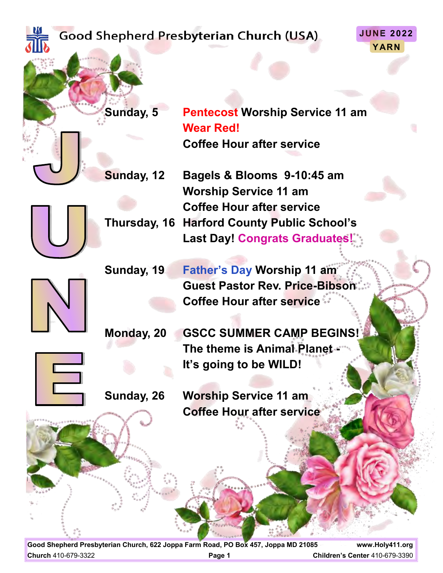|  |                         |              | <b>JUNE 2022</b><br>Good Shepherd Presbyterian Church (USA)<br>YARN |
|--|-------------------------|--------------|---------------------------------------------------------------------|
|  |                         | Sunday, 5    | <b>Pentecost Worship Service 11 am</b>                              |
|  |                         |              | <b>Wear Red!</b>                                                    |
|  |                         |              | <b>Coffee Hour after service</b>                                    |
|  |                         | Sunday, 12   | Bagels & Blooms 9-10:45 am                                          |
|  |                         |              | <b>Worship Service 11 am</b>                                        |
|  |                         |              | <b>Coffee Hour after service</b>                                    |
|  |                         | Thursday, 16 | <b>Harford County Public School's</b>                               |
|  |                         |              | <b>Last Day! Congrats Graduates!</b>                                |
|  |                         | Sunday, 19   | <b>Father's Day Worship 11 am</b>                                   |
|  |                         |              | <b>Guest Pastor Rev. Price-Bibson:</b>                              |
|  |                         |              | <b>Coffee Hour after service **</b>                                 |
|  |                         |              |                                                                     |
|  |                         | Monday, 20   | <b>GSCC SUMMER CAMP BEGINS!</b>                                     |
|  |                         |              | The theme is Animal Planet.                                         |
|  | $\overline{\mathbf{C}}$ |              | It's going to be WILD!                                              |
|  |                         |              |                                                                     |
|  |                         | Sunday, 26   | <b>Worship Service 11 am</b>                                        |
|  | 00000000                |              | <b>Coffee Hour after service</b>                                    |
|  |                         |              |                                                                     |

**Good Shepherd Presbyterian Church, 622 Joppa Farm Road, PO Box 457, Joppa MD 21085 www.Holy411.org Church** 410-679-3322 **Page 1 Children's Center** 410-679-3390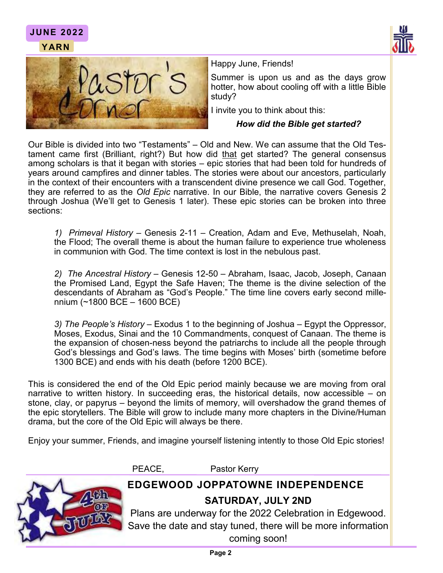



**JUNE 2022**

Happy June, Friends!

Summer is upon us and as the days grow hotter, how about cooling off with a little Bible study?

I invite you to think about this:

### *How did the Bible get started?*

Our Bible is divided into two "Testaments" – Old and New. We can assume that the Old Testament came first (Brilliant, right?) But how did that get started? The general consensus among scholars is that it began with stories – epic stories that had been told for hundreds of years around campfires and dinner tables. The stories were about our ancestors, particularly in the context of their encounters with a transcendent divine presence we call God. Together, they are referred to as the *Old Epic* narrative. In our Bible, the narrative covers Genesis 2 through Joshua (We'll get to Genesis 1 later). These epic stories can be broken into three sections:

*1) Primeval History* – Genesis 2-11 – Creation, Adam and Eve, Methuselah, Noah, the Flood; The overall theme is about the human failure to experience true wholeness in communion with God. The time context is lost in the nebulous past.

*2) The Ancestral History* – Genesis 12-50 – Abraham, Isaac, Jacob, Joseph, Canaan the Promised Land, Egypt the Safe Haven; The theme is the divine selection of the descendants of Abraham as "God's People." The time line covers early second millennium (~1800 BCE – 1600 BCE)

*3) The People's History* – Exodus 1 to the beginning of Joshua – Egypt the Oppressor, Moses, Exodus, Sinai and the 10 Commandments, conquest of Canaan. The theme is the expansion of chosen-ness beyond the patriarchs to include all the people through God's blessings and God's laws. The time begins with Moses' birth (sometime before 1300 BCE) and ends with his death (before 1200 BCE).

This is considered the end of the Old Epic period mainly because we are moving from oral narrative to written history. In succeeding eras, the historical details, now accessible – on stone, clay, or papyrus – beyond the limits of memory, will overshadow the grand themes of the epic storytellers. The Bible will grow to include many more chapters in the Divine/Human drama, but the core of the Old Epic will always be there.

Enjoy your summer, Friends, and imagine yourself listening intently to those Old Epic stories!

PEACE, Pastor Kerry



## **EDGEWOOD JOPPATOWNE INDEPENDENCE SATURDAY, JULY 2ND**

Plans are underway for the 2022 Celebration in Edgewood. Save the date and stay tuned, there will be more information coming soon!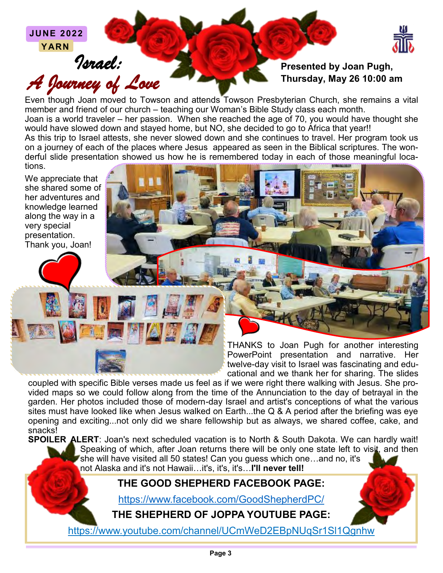**JUNE 2022 YARN**

*Israel: A Journey of Love* 



## **Presented by Joan Pugh, Thursday, May 26 10:00 am**

Even though Joan moved to Towson and attends Towson Presbyterian Church, she remains a vital member and friend of our church – teaching our Woman's Bible Study class each month.

Joan is a world traveler – her passion. When she reached the age of 70, you would have thought she would have slowed down and stayed home, but NO, she decided to go to Africa that year!!

As this trip to Israel attests, she never slowed down and she continues to travel. Her program took us on a journey of each of the places where Jesus appeared as seen in the Biblical scriptures. The wonderful slide presentation showed us how he is remembered today in each of those meaningful locations.

We appreciate that she shared some of her adventures and knowledge learned along the way in a very special presentation. Thank you, Joan!

> THANKS to Joan Pugh for another interesting PowerPoint presentation and narrative. Her twelve-day visit to Israel was fascinating and educational and we thank her for sharing. The slides

coupled with specific Bible verses made us feel as if we were right there walking with Jesus. She provided maps so we could follow along from the time of the Annunciation to the day of betrayal in the garden. Her photos included those of modern-day Israel and artist's conceptions of what the various sites must have looked like when Jesus walked on Earth...the Q & A period after the briefing was eye opening and exciting...not only did we share fellowship but as always, we shared coffee, cake, and snacks!

**SPOILER ALERT**: Joan's next scheduled vacation is to North & South Dakota. We can hardly wait! Speaking of which, after Joan returns there will be only one state left to visit, and then she will have visited all 50 states! Can you guess which one…and no, it's not Alaska and it's not Hawaii…it's, it's, it's…**I'll never tell!**

# **THE GOOD SHEPHERD FACEBOOK PAGE:**

<https://www.facebook.com/GoodShepherdPC/>

**THE SHEPHERD OF JOPPA YOUTUBE PAGE:**

https://www.youtube.com/channel/UCmWeD2EBpNUqSr1Sl1Qgnhw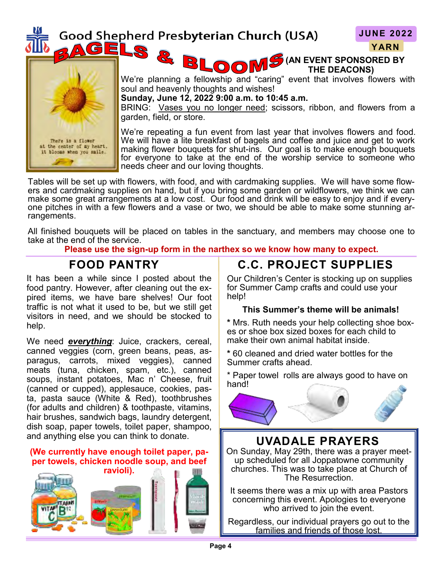# Good Shepherd Presbyterian Church (USA)

S.

3

**JUNE 2022 YARN**

**(AN EVENT SPONSORED BY THE DEACONS)**



We're planning a fellowship and "caring" event that involves flowers with soul and heavenly thoughts and wishes!

**Sunday, June 12, 2022 9:00 a.m. to 10:45 a.m.**

LOOM<sup>!</sup>

BRING: Vases you no longer need; scissors, ribbon, and flowers from a garden, field, or store.

We're repeating a fun event from last year that involves flowers and food. We will have a lite breakfast of bagels and coffee and juice and get to work making flower bouquets for shut-ins. Our goal is to make enough bouquets for everyone to take at the end of the worship service to someone who needs cheer and our loving thoughts.

Tables will be set up with flowers, with food, and with cardmaking supplies. We will have some flowers and cardmaking supplies on hand, but if you bring some garden or wildflowers, we think we can make some great arrangements at a low cost. Our food and drink will be easy to enjoy and if everyone pitches in with a few flowers and a vase or two, we should be able to make some stunning arrangements.

All finished bouquets will be placed on tables in the sanctuary, and members may choose one to take at the end of the service.

**Please use the sign-up form in the narthex so we know how many to expect.** 

# **FOOD PANTRY**

It has been a while since I posted about the food pantry. However, after cleaning out the expired items, we have bare shelves! Our foot traffic is not what it used to be, but we still get visitors in need, and we should be stocked to help.

We need *everything*: Juice, crackers, cereal, canned veggies (corn, green beans, peas, asparagus, carrots, mixed veggies), canned meats (tuna, chicken, spam, etc.), canned soups, instant potatoes, Mac n' Cheese, fruit (canned or cupped), applesauce, cookies, pasta, pasta sauce (White & Red), toothbrushes (for adults and children) & toothpaste, vitamins, hair brushes, sandwich bags, laundry detergent, dish soap, paper towels, toilet paper, shampoo, and anything else you can think to donate.

### **(We currently have enough toilet paper, paper towels, chicken noodle soup, and beef**



# **C.C. PROJECT SUPPLIES**

Our Children's Center is stocking up on supplies for Summer Camp crafts and could use your help!

#### **This Summer's theme will be animals!**

**\*** Mrs. Ruth needs your help collecting shoe boxes or shoe box sized boxes for each child to make their own animal habitat inside.

**\*** 60 cleaned and dried water bottles for the Summer crafts ahead.

\* Paper towel rolls are always good to have on hand!



## **UVADALE PRAYERS**

On Sunday, May 29th, there was a prayer meetup scheduled for all Joppatowne community churches. This was to take place at Church of The Resurrection.

It seems there was a mix up with area Pastors concerning this event. Apologies to everyone who arrived to join the event.

Regardless, our individual prayers go out to the families and friends of those lost.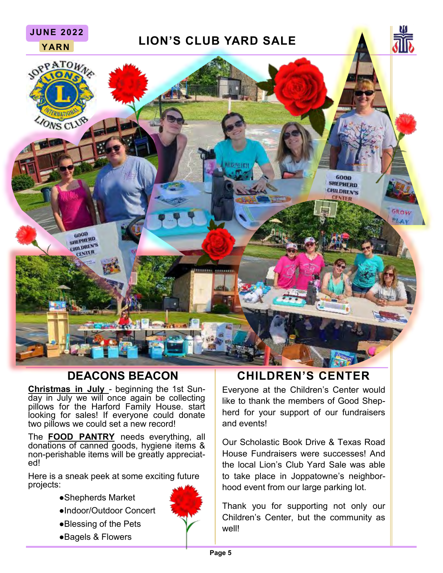

**Christmas in July** - beginning the 1st Sunday in July we will once again be collecting pillows for the Harford Family House. start looking for sales! If everyone could donate two pillows we could set a new record!

The **FOOD PANTRY** needs everything, all donations of canned goods, hygiene items & non-perishable items will be greatly appreciated!

Here is a sneak peek at some exciting future projects:

●Shepherds Market

**JUNE 2022**

- ●Indoor/Outdoor Concert
- ●Blessing of the Pets
- ●Bagels & Flowers

## **DEACONS BEACON CHILDREN'S CENTER**

Everyone at the Children's Center would like to thank the members of Good Shepherd for your support of our fundraisers and events!

Our Scholastic Book Drive & Texas Road House Fundraisers were successes! And the local Lion's Club Yard Sale was able to take place in Joppatowne's neighborhood event from our large parking lot.

Thank you for supporting not only our Children's Center, but the community as well!